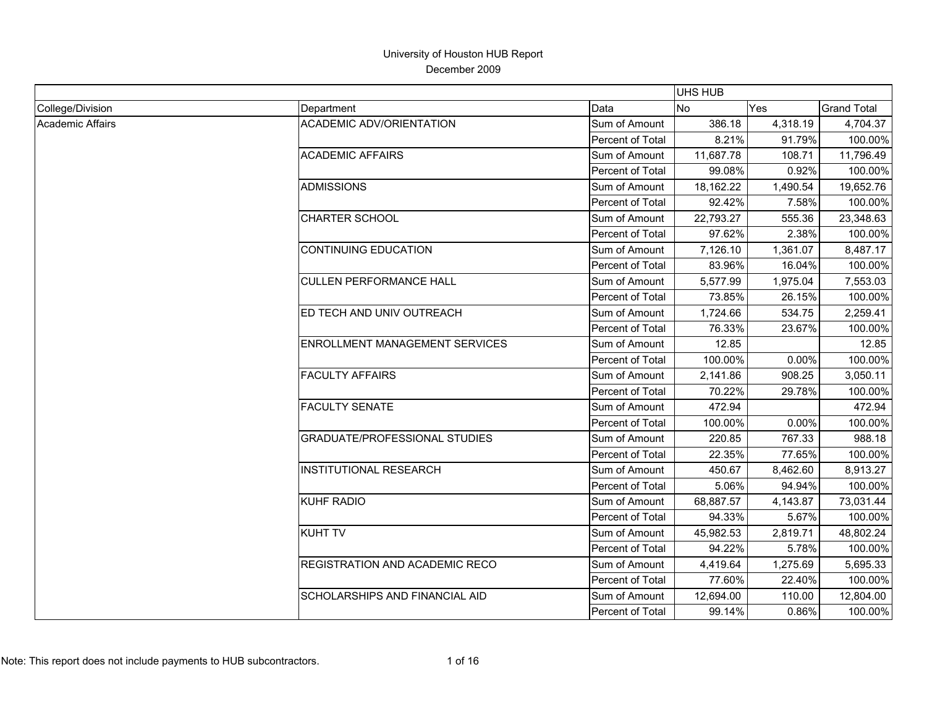|                         |                                       |                  | <b>UHS HUB</b> |          |                    |
|-------------------------|---------------------------------------|------------------|----------------|----------|--------------------|
| College/Division        | Department                            | Data             | <b>No</b>      | Yes      | <b>Grand Total</b> |
| <b>Academic Affairs</b> | <b>ACADEMIC ADV/ORIENTATION</b>       | Sum of Amount    | 386.18         | 4,318.19 | 4,704.37           |
|                         |                                       | Percent of Total | 8.21%          | 91.79%   | 100.00%            |
|                         | <b>ACADEMIC AFFAIRS</b>               | Sum of Amount    | 11,687.78      | 108.71   | 11,796.49          |
|                         |                                       | Percent of Total | 99.08%         | 0.92%    | 100.00%            |
|                         | <b>ADMISSIONS</b>                     | Sum of Amount    | 18,162.22      | 1,490.54 | 19,652.76          |
|                         |                                       | Percent of Total | 92.42%         | 7.58%    | 100.00%            |
|                         | <b>CHARTER SCHOOL</b>                 | Sum of Amount    | 22,793.27      | 555.36   | 23,348.63          |
|                         |                                       | Percent of Total | 97.62%         | 2.38%    | 100.00%            |
|                         | <b>CONTINUING EDUCATION</b>           | Sum of Amount    | 7,126.10       | 1,361.07 | 8,487.17           |
|                         |                                       | Percent of Total | 83.96%         | 16.04%   | 100.00%            |
|                         | <b>CULLEN PERFORMANCE HALL</b>        | Sum of Amount    | 5,577.99       | 1,975.04 | 7,553.03           |
|                         |                                       | Percent of Total | 73.85%         | 26.15%   | 100.00%            |
|                         | ED TECH AND UNIV OUTREACH             | Sum of Amount    | 1,724.66       | 534.75   | 2,259.41           |
|                         |                                       | Percent of Total | 76.33%         | 23.67%   | 100.00%            |
|                         | <b>ENROLLMENT MANAGEMENT SERVICES</b> | Sum of Amount    | 12.85          |          | 12.85              |
|                         |                                       | Percent of Total | 100.00%        | 0.00%    | 100.00%            |
|                         | <b>FACULTY AFFAIRS</b>                | Sum of Amount    | 2,141.86       | 908.25   | 3,050.11           |
|                         |                                       | Percent of Total | 70.22%         | 29.78%   | 100.00%            |
|                         | <b>FACULTY SENATE</b>                 | Sum of Amount    | 472.94         |          | 472.94             |
|                         |                                       | Percent of Total | 100.00%        | 0.00%    | 100.00%            |
|                         | <b>GRADUATE/PROFESSIONAL STUDIES</b>  | Sum of Amount    | 220.85         | 767.33   | 988.18             |
|                         |                                       | Percent of Total | 22.35%         | 77.65%   | 100.00%            |
|                         | <b>INSTITUTIONAL RESEARCH</b>         | Sum of Amount    | 450.67         | 8,462.60 | 8,913.27           |
|                         |                                       | Percent of Total | 5.06%          | 94.94%   | 100.00%            |
|                         | KUHF RADIO                            | Sum of Amount    | 68,887.57      | 4,143.87 | 73,031.44          |
|                         |                                       | Percent of Total | 94.33%         | 5.67%    | 100.00%            |
|                         | <b>KUHT TV</b>                        | Sum of Amount    | 45,982.53      | 2,819.71 | 48,802.24          |
|                         |                                       | Percent of Total | 94.22%         | 5.78%    | 100.00%            |
|                         | REGISTRATION AND ACADEMIC RECO        | Sum of Amount    | 4,419.64       | 1,275.69 | 5,695.33           |
|                         |                                       | Percent of Total | 77.60%         | 22.40%   | 100.00%            |
|                         | <b>SCHOLARSHIPS AND FINANCIAL AID</b> | Sum of Amount    | 12,694.00      | 110.00   | 12,804.00          |
|                         |                                       | Percent of Total | 99.14%         | 0.86%    | 100.00%            |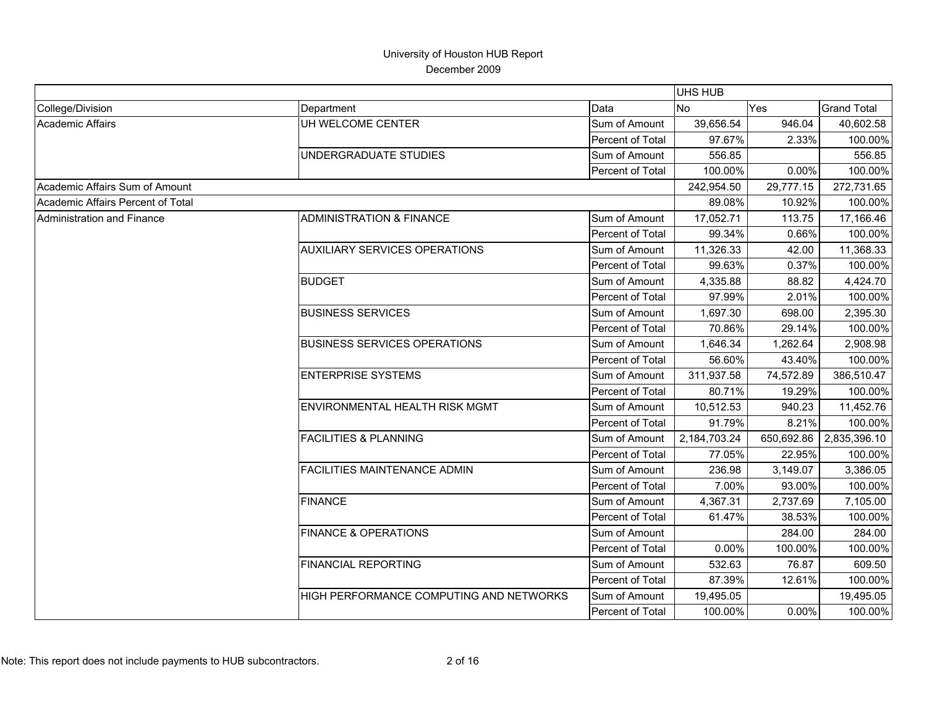|                                   |                                         |                  | <b>UHS HUB</b> |            |                    |
|-----------------------------------|-----------------------------------------|------------------|----------------|------------|--------------------|
| College/Division                  | Department                              | Data             | <b>No</b>      | Yes        | <b>Grand Total</b> |
| <b>Academic Affairs</b>           | UH WELCOME CENTER                       | Sum of Amount    | 39,656.54      | 946.04     | 40,602.58          |
|                                   |                                         | Percent of Total | 97.67%         | 2.33%      | 100.00%            |
|                                   | UNDERGRADUATE STUDIES                   | Sum of Amount    | 556.85         |            | 556.85             |
|                                   |                                         | Percent of Total | 100.00%        | 0.00%      | 100.00%            |
| Academic Affairs Sum of Amount    |                                         |                  | 242,954.50     | 29,777.15  | 272,731.65         |
| Academic Affairs Percent of Total |                                         |                  | 89.08%         | 10.92%     | 100.00%            |
| Administration and Finance        | <b>ADMINISTRATION &amp; FINANCE</b>     | Sum of Amount    | 17,052.71      | 113.75     | 17,166.46          |
|                                   |                                         | Percent of Total | 99.34%         | 0.66%      | 100.00%            |
|                                   | <b>AUXILIARY SERVICES OPERATIONS</b>    | Sum of Amount    | 11,326.33      | 42.00      | 11,368.33          |
|                                   |                                         | Percent of Total | 99.63%         | 0.37%      | 100.00%            |
|                                   | <b>BUDGET</b>                           | Sum of Amount    | 4,335.88       | 88.82      | 4,424.70           |
|                                   |                                         | Percent of Total | 97.99%         | 2.01%      | 100.00%            |
|                                   | <b>BUSINESS SERVICES</b>                | Sum of Amount    | 1,697.30       | 698.00     | 2,395.30           |
|                                   |                                         | Percent of Total | 70.86%         | 29.14%     | 100.00%            |
|                                   | <b>BUSINESS SERVICES OPERATIONS</b>     | Sum of Amount    | 1,646.34       | 1,262.64   | 2,908.98           |
|                                   |                                         | Percent of Total | 56.60%         | 43.40%     | 100.00%            |
|                                   | <b>ENTERPRISE SYSTEMS</b>               | Sum of Amount    | 311,937.58     | 74,572.89  | 386,510.47         |
|                                   |                                         | Percent of Total | 80.71%         | 19.29%     | 100.00%            |
|                                   | ENVIRONMENTAL HEALTH RISK MGMT          | Sum of Amount    | 10,512.53      | 940.23     | 11,452.76          |
|                                   |                                         | Percent of Total | 91.79%         | 8.21%      | 100.00%            |
|                                   | <b>FACILITIES &amp; PLANNING</b>        | Sum of Amount    | 2,184,703.24   | 650,692.86 | 2,835,396.10       |
|                                   |                                         | Percent of Total | 77.05%         | 22.95%     | 100.00%            |
|                                   | <b>FACILITIES MAINTENANCE ADMIN</b>     | Sum of Amount    | 236.98         | 3,149.07   | 3,386.05           |
|                                   |                                         | Percent of Total | 7.00%          | 93.00%     | 100.00%            |
|                                   | <b>FINANCE</b>                          | Sum of Amount    | 4,367.31       | 2,737.69   | 7,105.00           |
|                                   |                                         | Percent of Total | 61.47%         | 38.53%     | 100.00%            |
|                                   | <b>FINANCE &amp; OPERATIONS</b>         | Sum of Amount    |                | 284.00     | 284.00             |
|                                   |                                         | Percent of Total | 0.00%          | 100.00%    | 100.00%            |
|                                   | <b>FINANCIAL REPORTING</b>              | Sum of Amount    | 532.63         | 76.87      | 609.50             |
|                                   |                                         | Percent of Total | 87.39%         | 12.61%     | 100.00%            |
|                                   | HIGH PERFORMANCE COMPUTING AND NETWORKS | Sum of Amount    | 19,495.05      |            | 19,495.05          |
|                                   |                                         | Percent of Total | 100.00%        | 0.00%      | 100.00%            |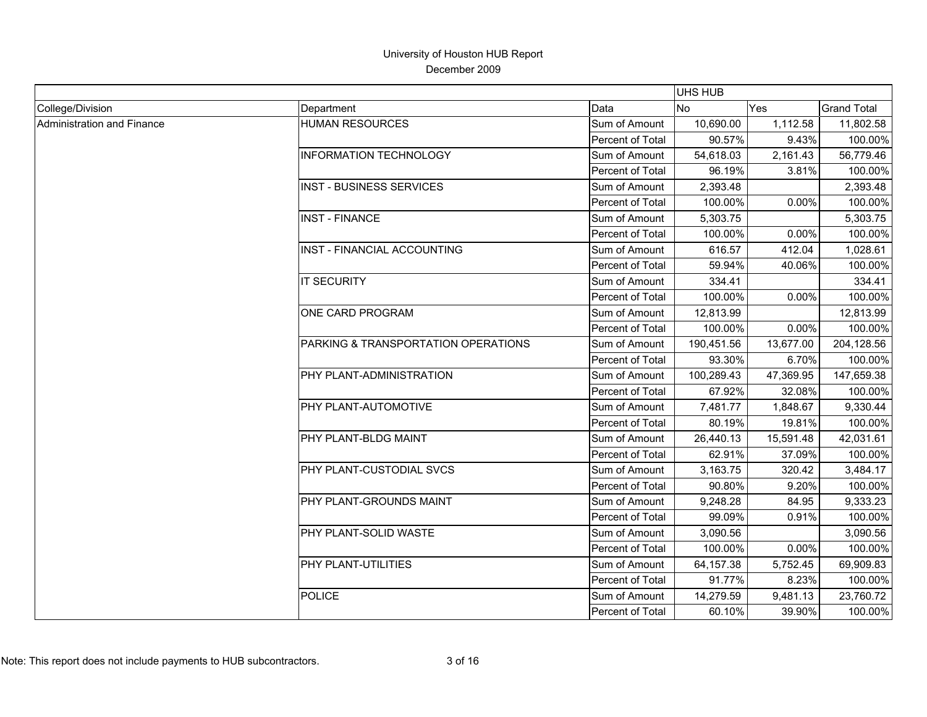|                            |                                     |                  | <b>UHS HUB</b> |           |                    |
|----------------------------|-------------------------------------|------------------|----------------|-----------|--------------------|
| College/Division           | Department                          | Data             | <b>No</b>      | Yes       | <b>Grand Total</b> |
| Administration and Finance | <b>HUMAN RESOURCES</b>              | Sum of Amount    | 10,690.00      | 1,112.58  | 11,802.58          |
|                            |                                     | Percent of Total | 90.57%         | 9.43%     | 100.00%            |
|                            | <b>INFORMATION TECHNOLOGY</b>       | Sum of Amount    | 54,618.03      | 2,161.43  | 56,779.46          |
|                            |                                     | Percent of Total | 96.19%         | 3.81%     | 100.00%            |
|                            | <b>INST - BUSINESS SERVICES</b>     | Sum of Amount    | 2,393.48       |           | 2,393.48           |
|                            |                                     | Percent of Total | 100.00%        | 0.00%     | 100.00%            |
|                            | <b>INST - FINANCE</b>               | Sum of Amount    | 5,303.75       |           | 5,303.75           |
|                            |                                     | Percent of Total | 100.00%        | 0.00%     | 100.00%            |
|                            | INST - FINANCIAL ACCOUNTING         | Sum of Amount    | 616.57         | 412.04    | 1,028.61           |
|                            |                                     | Percent of Total | 59.94%         | 40.06%    | 100.00%            |
|                            | <b>IT SECURITY</b>                  | Sum of Amount    | 334.41         |           | 334.41             |
|                            |                                     | Percent of Total | 100.00%        | 0.00%     | 100.00%            |
|                            | ONE CARD PROGRAM                    | Sum of Amount    | 12,813.99      |           | 12,813.99          |
|                            |                                     | Percent of Total | 100.00%        | 0.00%     | 100.00%            |
|                            | PARKING & TRANSPORTATION OPERATIONS | Sum of Amount    | 190,451.56     | 13,677.00 | 204,128.56         |
|                            |                                     | Percent of Total | 93.30%         | 6.70%     | 100.00%            |
|                            | PHY PLANT-ADMINISTRATION            | Sum of Amount    | 100,289.43     | 47,369.95 | 147,659.38         |
|                            |                                     | Percent of Total | 67.92%         | 32.08%    | 100.00%            |
|                            | PHY PLANT-AUTOMOTIVE                | Sum of Amount    | 7,481.77       | 1,848.67  | 9,330.44           |
|                            |                                     | Percent of Total | 80.19%         | 19.81%    | 100.00%            |
|                            | PHY PLANT-BLDG MAINT                | Sum of Amount    | 26,440.13      | 15,591.48 | 42,031.61          |
|                            |                                     | Percent of Total | 62.91%         | 37.09%    | 100.00%            |
|                            | <b>PHY PLANT-CUSTODIAL SVCS</b>     | Sum of Amount    | 3,163.75       | 320.42    | 3,484.17           |
|                            |                                     | Percent of Total | 90.80%         | 9.20%     | 100.00%            |
|                            | PHY PLANT-GROUNDS MAINT             | Sum of Amount    | 9,248.28       | 84.95     | 9,333.23           |
|                            |                                     | Percent of Total | 99.09%         | 0.91%     | 100.00%            |
|                            | PHY PLANT-SOLID WASTE               | Sum of Amount    | 3,090.56       |           | 3,090.56           |
|                            |                                     | Percent of Total | 100.00%        | 0.00%     | 100.00%            |
|                            | PHY PLANT-UTILITIES                 | Sum of Amount    | 64,157.38      | 5,752.45  | 69,909.83          |
|                            |                                     | Percent of Total | 91.77%         | 8.23%     | 100.00%            |
|                            | <b>POLICE</b>                       | Sum of Amount    | 14,279.59      | 9,481.13  | 23,760.72          |
|                            |                                     | Percent of Total | 60.10%         | 39.90%    | 100.00%            |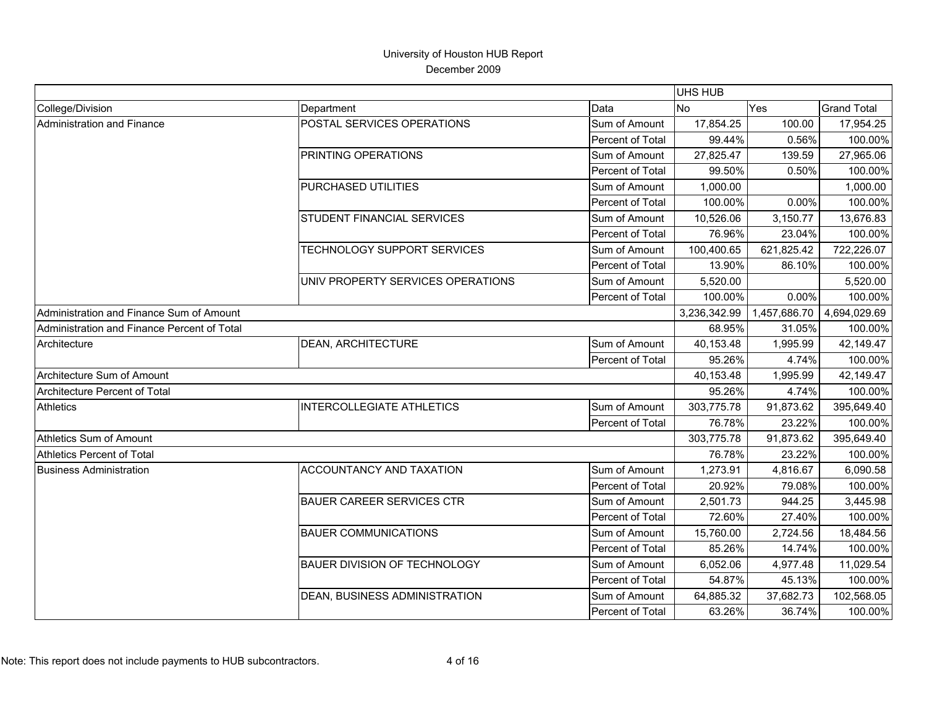|                                             |                                     |                  | <b>UHS HUB</b> |              |                    |
|---------------------------------------------|-------------------------------------|------------------|----------------|--------------|--------------------|
| College/Division                            | Department                          | Data             | <b>No</b>      | Yes          | <b>Grand Total</b> |
| <b>Administration and Finance</b>           | POSTAL SERVICES OPERATIONS          | Sum of Amount    | 17,854.25      | 100.00       | 17,954.25          |
|                                             |                                     | Percent of Total | 99.44%         | 0.56%        | 100.00%            |
|                                             | PRINTING OPERATIONS                 | Sum of Amount    | 27,825.47      | 139.59       | 27,965.06          |
|                                             |                                     | Percent of Total | 99.50%         | 0.50%        | 100.00%            |
|                                             | PURCHASED UTILITIES                 | Sum of Amount    | 1,000.00       |              | 1,000.00           |
|                                             |                                     | Percent of Total | 100.00%        | 0.00%        | 100.00%            |
|                                             | <b>STUDENT FINANCIAL SERVICES</b>   | Sum of Amount    | 10,526.06      | 3,150.77     | 13,676.83          |
|                                             |                                     | Percent of Total | 76.96%         | 23.04%       | 100.00%            |
|                                             | TECHNOLOGY SUPPORT SERVICES         | Sum of Amount    | 100,400.65     | 621,825.42   | 722,226.07         |
|                                             |                                     | Percent of Total | 13.90%         | 86.10%       | 100.00%            |
|                                             | UNIV PROPERTY SERVICES OPERATIONS   | Sum of Amount    | 5,520.00       |              | 5,520.00           |
|                                             |                                     | Percent of Total | 100.00%        | 0.00%        | 100.00%            |
| Administration and Finance Sum of Amount    |                                     |                  | 3,236,342.99   | 1,457,686.70 | 4,694,029.69       |
| Administration and Finance Percent of Total |                                     |                  | 68.95%         | 31.05%       | 100.00%            |
| Architecture                                | <b>DEAN, ARCHITECTURE</b>           | Sum of Amount    | 40,153.48      | 1,995.99     | 42,149.47          |
|                                             |                                     | Percent of Total | 95.26%         | 4.74%        | 100.00%            |
| Architecture Sum of Amount                  |                                     |                  | 40,153.48      | 1,995.99     | 42,149.47          |
| Architecture Percent of Total               |                                     |                  | 95.26%         | 4.74%        | 100.00%            |
| <b>Athletics</b>                            | <b>INTERCOLLEGIATE ATHLETICS</b>    | Sum of Amount    | 303,775.78     | 91,873.62    | 395,649.40         |
|                                             |                                     | Percent of Total | 76.78%         | 23.22%       | 100.00%            |
| Athletics Sum of Amount                     |                                     |                  | 303,775.78     | 91,873.62    | 395,649.40         |
| <b>Athletics Percent of Total</b>           |                                     |                  | 76.78%         | 23.22%       | 100.00%            |
| <b>Business Administration</b>              | <b>ACCOUNTANCY AND TAXATION</b>     | Sum of Amount    | 1,273.91       | 4,816.67     | 6,090.58           |
|                                             |                                     | Percent of Total | 20.92%         | 79.08%       | 100.00%            |
|                                             | <b>BAUER CAREER SERVICES CTR</b>    | Sum of Amount    | 2,501.73       | 944.25       | 3,445.98           |
|                                             |                                     | Percent of Total | 72.60%         | 27.40%       | 100.00%            |
|                                             | <b>BAUER COMMUNICATIONS</b>         | Sum of Amount    | 15,760.00      | 2,724.56     | 18,484.56          |
|                                             |                                     | Percent of Total | 85.26%         | 14.74%       | 100.00%            |
|                                             | <b>BAUER DIVISION OF TECHNOLOGY</b> | Sum of Amount    | 6,052.06       | 4,977.48     | 11,029.54          |
|                                             |                                     | Percent of Total | 54.87%         | 45.13%       | 100.00%            |
|                                             | DEAN, BUSINESS ADMINISTRATION       | Sum of Amount    | 64,885.32      | 37,682.73    | 102,568.05         |
|                                             |                                     | Percent of Total | 63.26%         | 36.74%       | 100.00%            |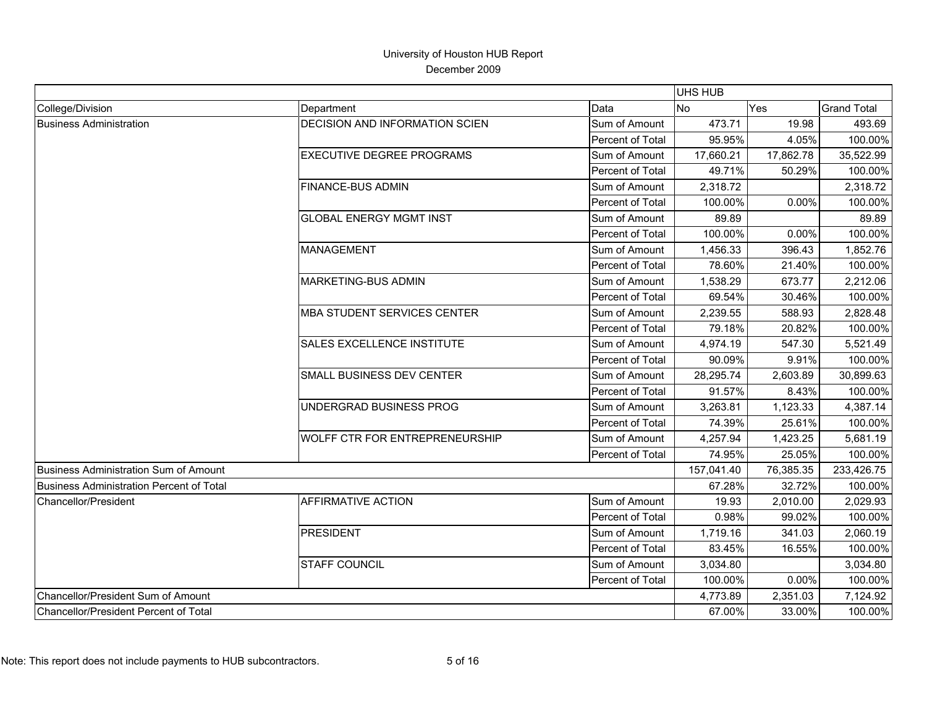|                                                 |                                       |                  | <b>UHS HUB</b> |           |                    |
|-------------------------------------------------|---------------------------------------|------------------|----------------|-----------|--------------------|
| College/Division                                | Department                            | Data             | <b>No</b>      | Yes       | <b>Grand Total</b> |
| <b>Business Administration</b>                  | <b>DECISION AND INFORMATION SCIEN</b> | Sum of Amount    | 473.71         | 19.98     | 493.69             |
|                                                 |                                       | Percent of Total | 95.95%         | 4.05%     | 100.00%            |
|                                                 | <b>EXECUTIVE DEGREE PROGRAMS</b>      | Sum of Amount    | 17,660.21      | 17,862.78 | 35,522.99          |
|                                                 |                                       | Percent of Total | 49.71%         | 50.29%    | 100.00%            |
|                                                 | <b>FINANCE-BUS ADMIN</b>              | Sum of Amount    | 2,318.72       |           | 2,318.72           |
|                                                 |                                       | Percent of Total | 100.00%        | 0.00%     | 100.00%            |
|                                                 | <b>GLOBAL ENERGY MGMT INST</b>        | Sum of Amount    | 89.89          |           | 89.89              |
|                                                 |                                       | Percent of Total | 100.00%        | 0.00%     | 100.00%            |
|                                                 | <b>MANAGEMENT</b>                     | Sum of Amount    | 1,456.33       | 396.43    | 1,852.76           |
|                                                 |                                       | Percent of Total | 78.60%         | 21.40%    | 100.00%            |
|                                                 | <b>MARKETING-BUS ADMIN</b>            | Sum of Amount    | 1,538.29       | 673.77    | 2,212.06           |
|                                                 |                                       | Percent of Total | 69.54%         | 30.46%    | 100.00%            |
|                                                 | <b>MBA STUDENT SERVICES CENTER</b>    | Sum of Amount    | 2,239.55       | 588.93    | 2,828.48           |
|                                                 |                                       | Percent of Total | 79.18%         | 20.82%    | 100.00%            |
|                                                 | <b>SALES EXCELLENCE INSTITUTE</b>     | Sum of Amount    | 4,974.19       | 547.30    | 5,521.49           |
|                                                 |                                       | Percent of Total | 90.09%         | 9.91%     | 100.00%            |
|                                                 | SMALL BUSINESS DEV CENTER             | Sum of Amount    | 28,295.74      | 2,603.89  | 30,899.63          |
|                                                 |                                       | Percent of Total | 91.57%         | 8.43%     | 100.00%            |
|                                                 | UNDERGRAD BUSINESS PROG               | Sum of Amount    | 3,263.81       | 1,123.33  | 4,387.14           |
|                                                 |                                       | Percent of Total | 74.39%         | 25.61%    | 100.00%            |
|                                                 | <b>WOLFF CTR FOR ENTREPRENEURSHIP</b> | Sum of Amount    | 4,257.94       | 1,423.25  | 5,681.19           |
|                                                 |                                       | Percent of Total | 74.95%         | 25.05%    | 100.00%            |
| <b>Business Administration Sum of Amount</b>    |                                       |                  | 157,041.40     | 76,385.35 | 233,426.75         |
| <b>Business Administration Percent of Total</b> |                                       |                  | 67.28%         | 32.72%    | 100.00%            |
| <b>Chancellor/President</b>                     | <b>AFFIRMATIVE ACTION</b>             | Sum of Amount    | 19.93          | 2,010.00  | 2,029.93           |
|                                                 |                                       | Percent of Total | 0.98%          | 99.02%    | 100.00%            |
|                                                 | <b>PRESIDENT</b>                      | Sum of Amount    | 1,719.16       | 341.03    | 2,060.19           |
|                                                 |                                       | Percent of Total | 83.45%         | 16.55%    | 100.00%            |
|                                                 | <b>STAFF COUNCIL</b>                  | Sum of Amount    | 3,034.80       |           | 3,034.80           |
|                                                 |                                       | Percent of Total | 100.00%        | 0.00%     | 100.00%            |
| Chancellor/President Sum of Amount              |                                       |                  | 4,773.89       | 2,351.03  | 7,124.92           |
| Chancellor/President Percent of Total           |                                       |                  | 67.00%         | 33.00%    | 100.00%            |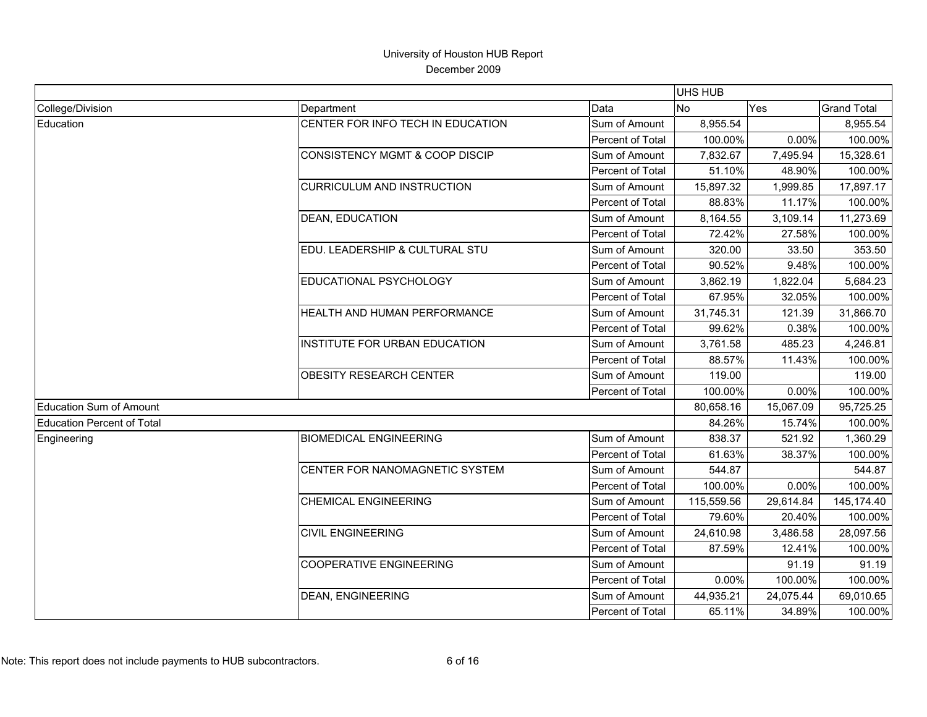|                                   |                                           |                  | <b>UHS HUB</b> |           |                    |
|-----------------------------------|-------------------------------------------|------------------|----------------|-----------|--------------------|
| College/Division                  | Department                                | Data             | <b>No</b>      | Yes       | <b>Grand Total</b> |
| Education                         | CENTER FOR INFO TECH IN EDUCATION         | Sum of Amount    | 8,955.54       |           | 8,955.54           |
|                                   |                                           | Percent of Total | 100.00%        | 0.00%     | 100.00%            |
|                                   | <b>CONSISTENCY MGMT &amp; COOP DISCIP</b> | Sum of Amount    | 7,832.67       | 7,495.94  | 15,328.61          |
|                                   |                                           | Percent of Total | 51.10%         | 48.90%    | 100.00%            |
|                                   | <b>CURRICULUM AND INSTRUCTION</b>         | Sum of Amount    | 15,897.32      | 1,999.85  | 17,897.17          |
|                                   |                                           | Percent of Total | 88.83%         | 11.17%    | 100.00%            |
|                                   | <b>DEAN, EDUCATION</b>                    | Sum of Amount    | 8,164.55       | 3,109.14  | 11,273.69          |
|                                   |                                           | Percent of Total | 72.42%         | 27.58%    | 100.00%            |
|                                   | EDU. LEADERSHIP & CULTURAL STU            | Sum of Amount    | 320.00         | 33.50     | 353.50             |
|                                   |                                           | Percent of Total | 90.52%         | 9.48%     | 100.00%            |
|                                   | EDUCATIONAL PSYCHOLOGY                    | Sum of Amount    | 3,862.19       | 1,822.04  | 5,684.23           |
|                                   |                                           | Percent of Total | 67.95%         | 32.05%    | 100.00%            |
|                                   | HEALTH AND HUMAN PERFORMANCE              | Sum of Amount    | 31,745.31      | 121.39    | 31,866.70          |
|                                   |                                           | Percent of Total | 99.62%         | 0.38%     | 100.00%            |
|                                   | INSTITUTE FOR URBAN EDUCATION             | Sum of Amount    | 3,761.58       | 485.23    | 4,246.81           |
|                                   |                                           | Percent of Total | 88.57%         | 11.43%    | 100.00%            |
|                                   | <b>OBESITY RESEARCH CENTER</b>            | Sum of Amount    | 119.00         |           | 119.00             |
|                                   |                                           | Percent of Total | 100.00%        | 0.00%     | 100.00%            |
| <b>Education Sum of Amount</b>    |                                           |                  | 80,658.16      | 15,067.09 | 95,725.25          |
| <b>Education Percent of Total</b> |                                           |                  | 84.26%         | 15.74%    | 100.00%            |
| Engineering                       | <b>BIOMEDICAL ENGINEERING</b>             | Sum of Amount    | 838.37         | 521.92    | 1,360.29           |
|                                   |                                           | Percent of Total | 61.63%         | 38.37%    | 100.00%            |
|                                   | CENTER FOR NANOMAGNETIC SYSTEM            | Sum of Amount    | 544.87         |           | 544.87             |
|                                   |                                           | Percent of Total | 100.00%        | 0.00%     | 100.00%            |
|                                   | <b>CHEMICAL ENGINEERING</b>               | Sum of Amount    | 115,559.56     | 29,614.84 | 145,174.40         |
|                                   |                                           | Percent of Total | 79.60%         | 20.40%    | 100.00%            |
|                                   | <b>CIVIL ENGINEERING</b>                  | Sum of Amount    | 24,610.98      | 3,486.58  | 28,097.56          |
|                                   |                                           | Percent of Total | 87.59%         | 12.41%    | 100.00%            |
|                                   | <b>COOPERATIVE ENGINEERING</b>            | Sum of Amount    |                | 91.19     | 91.19              |
|                                   |                                           | Percent of Total | 0.00%          | 100.00%   | 100.00%            |
|                                   | <b>DEAN, ENGINEERING</b>                  | Sum of Amount    | 44,935.21      | 24,075.44 | 69,010.65          |
|                                   |                                           | Percent of Total | 65.11%         | 34.89%    | 100.00%            |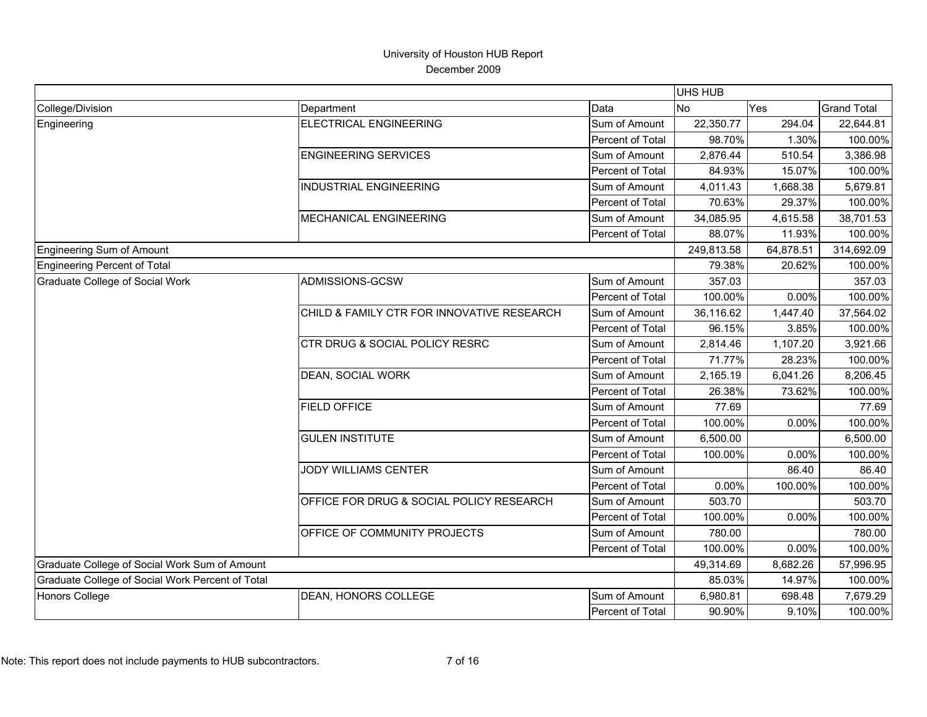|                                                  |                                            |                  | <b>UHS HUB</b> |           |                    |
|--------------------------------------------------|--------------------------------------------|------------------|----------------|-----------|--------------------|
| College/Division                                 | Department                                 | Data             | No.            | Yes       | <b>Grand Total</b> |
| Engineering                                      | <b>ELECTRICAL ENGINEERING</b>              | Sum of Amount    | 22,350.77      | 294.04    | 22,644.81          |
|                                                  |                                            | Percent of Total | 98.70%         | 1.30%     | 100.00%            |
|                                                  | <b>ENGINEERING SERVICES</b>                | Sum of Amount    | 2,876.44       | 510.54    | 3,386.98           |
|                                                  |                                            | Percent of Total | 84.93%         | 15.07%    | 100.00%            |
|                                                  | <b>INDUSTRIAL ENGINEERING</b>              | Sum of Amount    | 4,011.43       | 1,668.38  | 5,679.81           |
|                                                  |                                            | Percent of Total | 70.63%         | 29.37%    | 100.00%            |
|                                                  | MECHANICAL ENGINEERING                     | Sum of Amount    | 34,085.95      | 4,615.58  | 38,701.53          |
|                                                  |                                            | Percent of Total | 88.07%         | 11.93%    | 100.00%            |
| Engineering Sum of Amount                        |                                            |                  | 249,813.58     | 64,878.51 | 314,692.09         |
| Engineering Percent of Total                     |                                            |                  | 79.38%         | 20.62%    | 100.00%            |
| Graduate College of Social Work                  | ADMISSIONS-GCSW                            | Sum of Amount    | 357.03         |           | 357.03             |
|                                                  |                                            | Percent of Total | 100.00%        | 0.00%     | 100.00%            |
|                                                  | CHILD & FAMILY CTR FOR INNOVATIVE RESEARCH | Sum of Amount    | 36,116.62      | 1,447.40  | 37,564.02          |
|                                                  |                                            | Percent of Total | 96.15%         | 3.85%     | 100.00%            |
|                                                  | <b>CTR DRUG &amp; SOCIAL POLICY RESRC</b>  | Sum of Amount    | 2,814.46       | 1,107.20  | 3,921.66           |
|                                                  |                                            | Percent of Total | 71.77%         | 28.23%    | 100.00%            |
|                                                  | DEAN, SOCIAL WORK                          | Sum of Amount    | 2,165.19       | 6,041.26  | 8,206.45           |
|                                                  |                                            | Percent of Total | 26.38%         | 73.62%    | 100.00%            |
|                                                  | <b>FIELD OFFICE</b>                        | Sum of Amount    | 77.69          |           | 77.69              |
|                                                  |                                            | Percent of Total | 100.00%        | 0.00%     | 100.00%            |
|                                                  | <b>GULEN INSTITUTE</b>                     | Sum of Amount    | 6,500.00       |           | 6,500.00           |
|                                                  |                                            | Percent of Total | 100.00%        | 0.00%     | 100.00%            |
|                                                  | <b>JODY WILLIAMS CENTER</b>                | Sum of Amount    |                | 86.40     | 86.40              |
|                                                  |                                            | Percent of Total | 0.00%          | 100.00%   | 100.00%            |
|                                                  | OFFICE FOR DRUG & SOCIAL POLICY RESEARCH   | Sum of Amount    | 503.70         |           | 503.70             |
|                                                  |                                            | Percent of Total | 100.00%        | 0.00%     | 100.00%            |
|                                                  | OFFICE OF COMMUNITY PROJECTS               | Sum of Amount    | 780.00         |           | 780.00             |
|                                                  |                                            | Percent of Total | 100.00%        | 0.00%     | 100.00%            |
| Graduate College of Social Work Sum of Amount    |                                            |                  | 49,314.69      | 8,682.26  | 57,996.95          |
| Graduate College of Social Work Percent of Total |                                            |                  | 85.03%         | 14.97%    | 100.00%            |
| Honors College                                   | <b>DEAN, HONORS COLLEGE</b>                | Sum of Amount    | 6,980.81       | 698.48    | 7,679.29           |
|                                                  |                                            | Percent of Total | 90.90%         | 9.10%     | 100.00%            |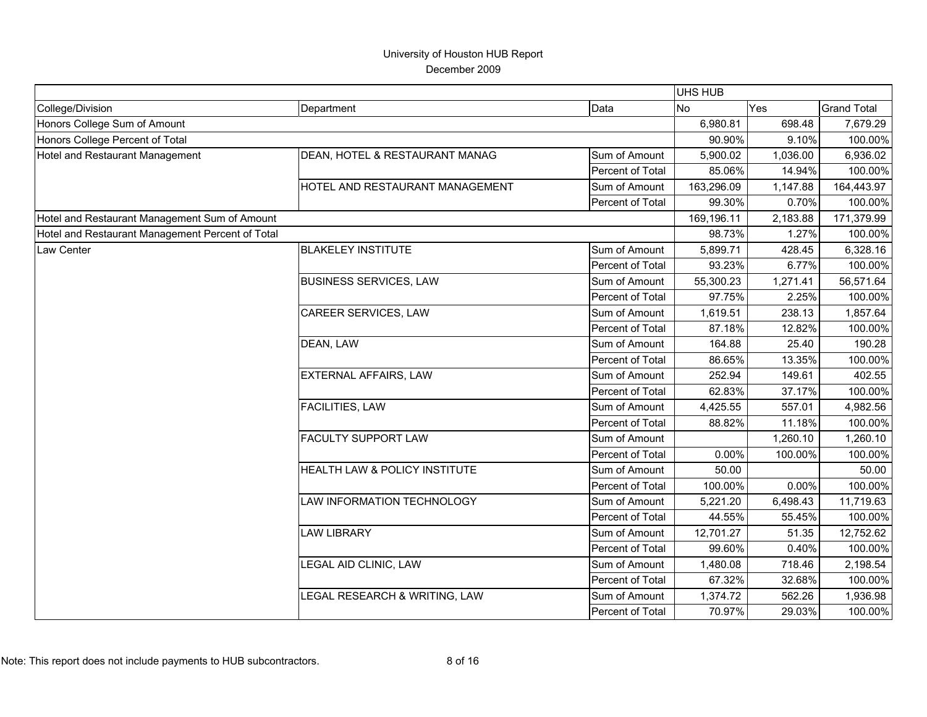|                                                  |                                 |                  | <b>UHS HUB</b> |            |                    |
|--------------------------------------------------|---------------------------------|------------------|----------------|------------|--------------------|
| College/Division                                 | Department                      | Data             | N <sub>o</sub> | Yes        | <b>Grand Total</b> |
| Honors College Sum of Amount                     |                                 |                  | 6,980.81       | 698.48     | 7,679.29           |
| Honors College Percent of Total                  |                                 |                  | 90.90%         | 9.10%      | 100.00%            |
| Hotel and Restaurant Management                  | DEAN, HOTEL & RESTAURANT MANAG  | Sum of Amount    | 5,900.02       | 1,036.00   | 6,936.02           |
|                                                  |                                 | Percent of Total | 85.06%         | 14.94%     | 100.00%            |
|                                                  | HOTEL AND RESTAURANT MANAGEMENT | Sum of Amount    | 163,296.09     | 1,147.88   | 164,443.97         |
|                                                  |                                 | Percent of Total | 99.30%         | 0.70%      | 100.00%            |
| Hotel and Restaurant Management Sum of Amount    |                                 | 169,196.11       | 2,183.88       | 171,379.99 |                    |
| Hotel and Restaurant Management Percent of Total |                                 |                  | 98.73%         | 1.27%      | 100.00%            |
| Law Center                                       | <b>BLAKELEY INSTITUTE</b>       | Sum of Amount    | 5,899.71       | 428.45     | 6,328.16           |
|                                                  |                                 | Percent of Total | 93.23%         | 6.77%      | 100.00%            |
|                                                  | <b>BUSINESS SERVICES, LAW</b>   | Sum of Amount    | 55,300.23      | 1,271.41   | 56,571.64          |
|                                                  |                                 | Percent of Total | 97.75%         | 2.25%      | 100.00%            |
|                                                  | CAREER SERVICES, LAW            | Sum of Amount    | 1,619.51       | 238.13     | 1,857.64           |
|                                                  |                                 | Percent of Total | 87.18%         | 12.82%     | 100.00%            |
|                                                  | DEAN, LAW                       | Sum of Amount    | 164.88         | 25.40      | 190.28             |
|                                                  |                                 | Percent of Total | 86.65%         | 13.35%     | 100.00%            |
|                                                  | EXTERNAL AFFAIRS, LAW           | Sum of Amount    | 252.94         | 149.61     | 402.55             |
|                                                  |                                 | Percent of Total | 62.83%         | 37.17%     | 100.00%            |
|                                                  | FACILITIES, LAW                 | Sum of Amount    | 4,425.55       | 557.01     | 4,982.56           |
|                                                  |                                 | Percent of Total | 88.82%         | 11.18%     | 100.00%            |
|                                                  | <b>FACULTY SUPPORT LAW</b>      | Sum of Amount    |                | 1,260.10   | 1,260.10           |
|                                                  |                                 | Percent of Total | 0.00%          | 100.00%    | 100.00%            |
|                                                  | HEALTH LAW & POLICY INSTITUTE   | Sum of Amount    | 50.00          |            | 50.00              |
|                                                  |                                 | Percent of Total | 100.00%        | 0.00%      | 100.00%            |
|                                                  | LAW INFORMATION TECHNOLOGY      | Sum of Amount    | 5,221.20       | 6,498.43   | 11,719.63          |
|                                                  |                                 | Percent of Total | 44.55%         | 55.45%     | 100.00%            |
|                                                  | <b>LAW LIBRARY</b>              | Sum of Amount    | 12,701.27      | 51.35      | 12,752.62          |
|                                                  |                                 | Percent of Total | 99.60%         | 0.40%      | 100.00%            |
|                                                  | LEGAL AID CLINIC, LAW           | Sum of Amount    | 1,480.08       | 718.46     | 2,198.54           |
|                                                  |                                 | Percent of Total | 67.32%         | 32.68%     | 100.00%            |
|                                                  | LEGAL RESEARCH & WRITING, LAW   | Sum of Amount    | 1,374.72       | 562.26     | 1,936.98           |
|                                                  |                                 | Percent of Total | 70.97%         | 29.03%     | 100.00%            |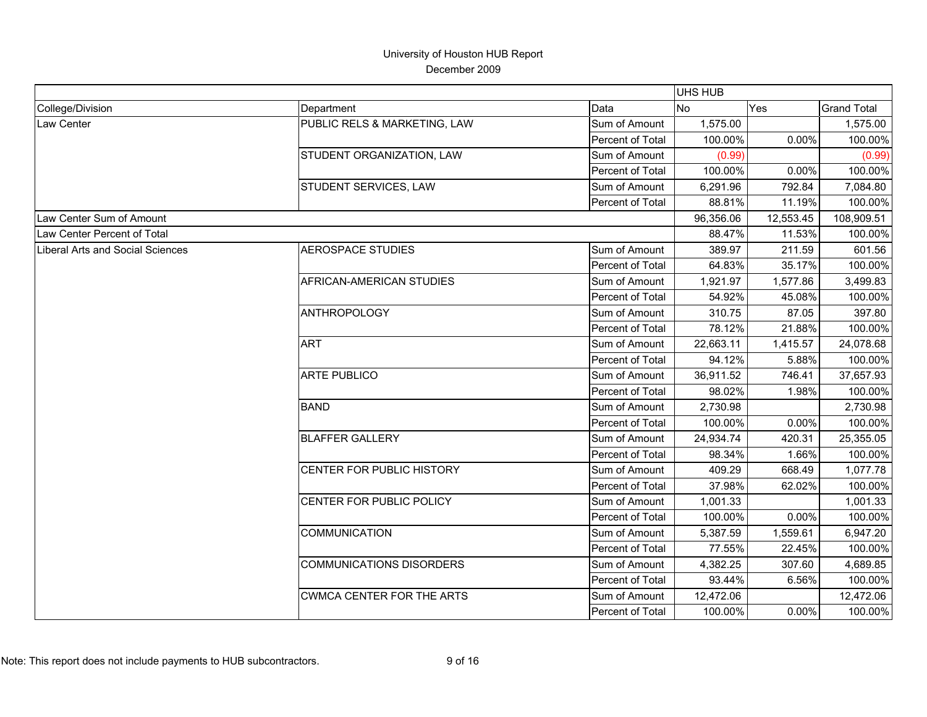|                                         |                                  |                  | <b>UHS HUB</b> |           |                    |
|-----------------------------------------|----------------------------------|------------------|----------------|-----------|--------------------|
| College/Division                        | Department                       | Data             | <b>No</b>      | Yes       | <b>Grand Total</b> |
| Law Center                              | PUBLIC RELS & MARKETING, LAW     | Sum of Amount    | 1,575.00       |           | 1,575.00           |
|                                         |                                  | Percent of Total | 100.00%        | 0.00%     | 100.00%            |
|                                         | STUDENT ORGANIZATION, LAW        | Sum of Amount    | (0.99)         |           | (0.99)             |
|                                         |                                  | Percent of Total | 100.00%        | 0.00%     | 100.00%            |
|                                         | STUDENT SERVICES, LAW            | Sum of Amount    | 6,291.96       | 792.84    | 7,084.80           |
|                                         |                                  | Percent of Total | 88.81%         | 11.19%    | 100.00%            |
| Law Center Sum of Amount                |                                  |                  | 96,356.06      | 12,553.45 | 108,909.51         |
| Law Center Percent of Total             |                                  |                  | 88.47%         | 11.53%    | 100.00%            |
| <b>Liberal Arts and Social Sciences</b> | <b>AEROSPACE STUDIES</b>         | Sum of Amount    | 389.97         | 211.59    | 601.56             |
|                                         |                                  | Percent of Total | 64.83%         | 35.17%    | 100.00%            |
|                                         | AFRICAN-AMERICAN STUDIES         | Sum of Amount    | 1,921.97       | 1,577.86  | 3,499.83           |
|                                         |                                  | Percent of Total | 54.92%         | 45.08%    | 100.00%            |
|                                         | <b>ANTHROPOLOGY</b>              | Sum of Amount    | 310.75         | 87.05     | 397.80             |
|                                         |                                  | Percent of Total | 78.12%         | 21.88%    | 100.00%            |
|                                         | <b>ART</b>                       | Sum of Amount    | 22,663.11      | 1,415.57  | 24,078.68          |
|                                         |                                  | Percent of Total | 94.12%         | 5.88%     | 100.00%            |
|                                         | <b>ARTE PUBLICO</b>              | Sum of Amount    | 36,911.52      | 746.41    | 37,657.93          |
|                                         |                                  | Percent of Total | 98.02%         | 1.98%     | 100.00%            |
|                                         | <b>BAND</b>                      | Sum of Amount    | 2,730.98       |           | 2,730.98           |
|                                         |                                  | Percent of Total | 100.00%        | 0.00%     | 100.00%            |
|                                         | <b>BLAFFER GALLERY</b>           | Sum of Amount    | 24,934.74      | 420.31    | 25,355.05          |
|                                         |                                  | Percent of Total | 98.34%         | 1.66%     | 100.00%            |
|                                         | <b>CENTER FOR PUBLIC HISTORY</b> | Sum of Amount    | 409.29         | 668.49    | 1,077.78           |
|                                         |                                  | Percent of Total | 37.98%         | 62.02%    | 100.00%            |
|                                         | CENTER FOR PUBLIC POLICY         | Sum of Amount    | 1,001.33       |           | 1,001.33           |
|                                         |                                  | Percent of Total | 100.00%        | 0.00%     | 100.00%            |
|                                         | <b>COMMUNICATION</b>             | Sum of Amount    | 5,387.59       | 1,559.61  | 6,947.20           |
|                                         |                                  | Percent of Total | 77.55%         | 22.45%    | 100.00%            |
|                                         | <b>COMMUNICATIONS DISORDERS</b>  | Sum of Amount    | 4,382.25       | 307.60    | 4,689.85           |
|                                         |                                  | Percent of Total | 93.44%         | 6.56%     | 100.00%            |
|                                         | <b>CWMCA CENTER FOR THE ARTS</b> | Sum of Amount    | 12,472.06      |           | 12,472.06          |
|                                         |                                  | Percent of Total | 100.00%        | 0.00%     | 100.00%            |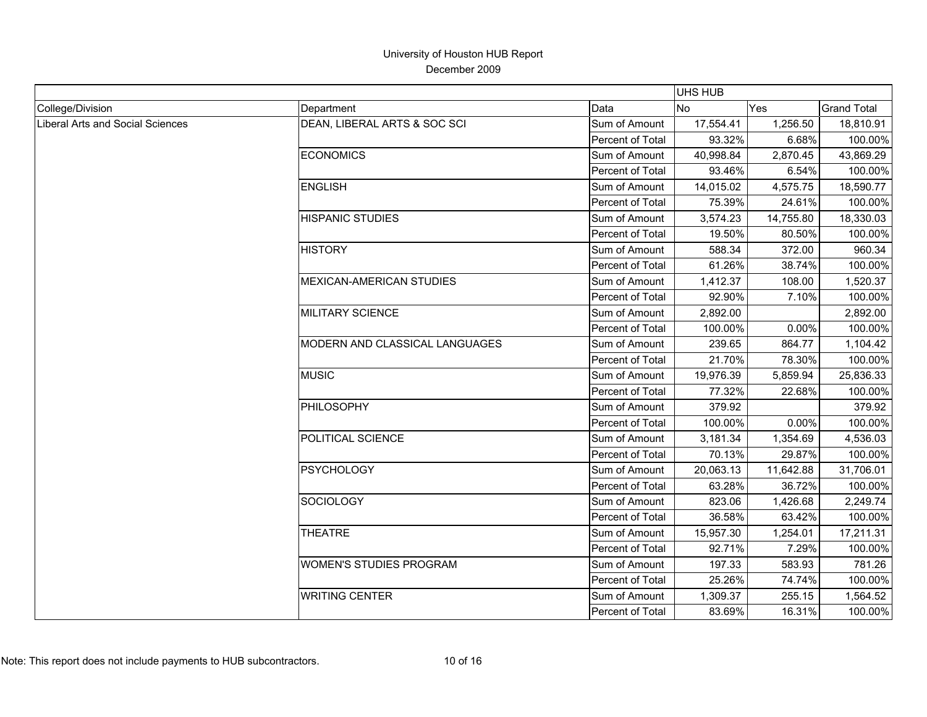|                                  |                                 |                  | <b>UHS HUB</b> |           |                    |
|----------------------------------|---------------------------------|------------------|----------------|-----------|--------------------|
| College/Division                 | Department                      | Data             | <b>No</b>      | Yes       | <b>Grand Total</b> |
| Liberal Arts and Social Sciences | DEAN, LIBERAL ARTS & SOC SCI    | Sum of Amount    | 17,554.41      | 1,256.50  | 18,810.91          |
|                                  |                                 | Percent of Total | 93.32%         | 6.68%     | 100.00%            |
|                                  | <b>ECONOMICS</b>                | Sum of Amount    | 40,998.84      | 2,870.45  | 43,869.29          |
|                                  |                                 | Percent of Total | 93.46%         | 6.54%     | 100.00%            |
|                                  | <b>ENGLISH</b>                  | Sum of Amount    | 14,015.02      | 4,575.75  | 18,590.77          |
|                                  |                                 | Percent of Total | 75.39%         | 24.61%    | 100.00%            |
|                                  | <b>HISPANIC STUDIES</b>         | Sum of Amount    | 3,574.23       | 14,755.80 | 18,330.03          |
|                                  |                                 | Percent of Total | 19.50%         | 80.50%    | 100.00%            |
|                                  | <b>HISTORY</b>                  | Sum of Amount    | 588.34         | 372.00    | 960.34             |
|                                  |                                 | Percent of Total | 61.26%         | 38.74%    | 100.00%            |
|                                  | <b>MEXICAN-AMERICAN STUDIES</b> | Sum of Amount    | 1,412.37       | 108.00    | 1,520.37           |
|                                  |                                 | Percent of Total | 92.90%         | 7.10%     | 100.00%            |
|                                  | <b>MILITARY SCIENCE</b>         | Sum of Amount    | 2,892.00       |           | 2,892.00           |
|                                  |                                 | Percent of Total | 100.00%        | 0.00%     | 100.00%            |
|                                  | MODERN AND CLASSICAL LANGUAGES  | Sum of Amount    | 239.65         | 864.77    | 1,104.42           |
|                                  |                                 | Percent of Total | 21.70%         | 78.30%    | 100.00%            |
|                                  | <b>MUSIC</b>                    | Sum of Amount    | 19,976.39      | 5,859.94  | 25,836.33          |
|                                  |                                 | Percent of Total | 77.32%         | 22.68%    | 100.00%            |
|                                  | PHILOSOPHY                      | Sum of Amount    | 379.92         |           | 379.92             |
|                                  |                                 | Percent of Total | 100.00%        | 0.00%     | 100.00%            |
|                                  | POLITICAL SCIENCE               | Sum of Amount    | 3,181.34       | 1,354.69  | 4,536.03           |
|                                  |                                 | Percent of Total | 70.13%         | 29.87%    | 100.00%            |
|                                  | <b>PSYCHOLOGY</b>               | Sum of Amount    | 20,063.13      | 11,642.88 | 31,706.01          |
|                                  |                                 | Percent of Total | 63.28%         | 36.72%    | 100.00%            |
|                                  | <b>SOCIOLOGY</b>                | Sum of Amount    | 823.06         | 1,426.68  | 2,249.74           |
|                                  |                                 | Percent of Total | 36.58%         | 63.42%    | 100.00%            |
|                                  | <b>THEATRE</b>                  | Sum of Amount    | 15,957.30      | 1,254.01  | 17,211.31          |
|                                  |                                 | Percent of Total | 92.71%         | 7.29%     | 100.00%            |
|                                  | <b>WOMEN'S STUDIES PROGRAM</b>  | Sum of Amount    | 197.33         | 583.93    | 781.26             |
|                                  |                                 | Percent of Total | 25.26%         | 74.74%    | 100.00%            |
|                                  | <b>WRITING CENTER</b>           | Sum of Amount    | 1,309.37       | 255.15    | 1,564.52           |
|                                  |                                 | Percent of Total | 83.69%         | 16.31%    | 100.00%            |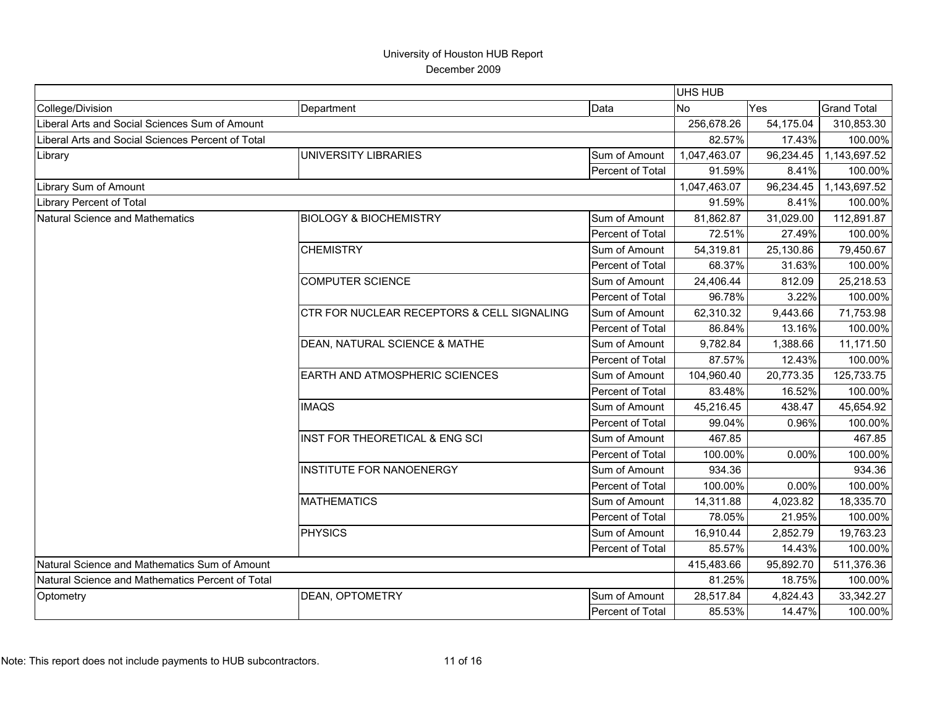|                                                   |                                            |                         | <b>UHS HUB</b> |           |                    |
|---------------------------------------------------|--------------------------------------------|-------------------------|----------------|-----------|--------------------|
| College/Division                                  | Department                                 | Data                    | <b>No</b>      | Yes       | <b>Grand Total</b> |
| Liberal Arts and Social Sciences Sum of Amount    |                                            |                         | 256,678.26     | 54,175.04 | 310,853.30         |
| Liberal Arts and Social Sciences Percent of Total |                                            |                         | 82.57%         | 17.43%    | 100.00%            |
| Library                                           | UNIVERSITY LIBRARIES                       | Sum of Amount           | 1,047,463.07   | 96,234.45 | 1,143,697.52       |
|                                                   |                                            | Percent of Total        | 91.59%         | 8.41%     | 100.00%            |
| Library Sum of Amount                             |                                            |                         | 1,047,463.07   | 96,234.45 | 1,143,697.52       |
| <b>Library Percent of Total</b>                   |                                            | 91.59%                  | 8.41%          | 100.00%   |                    |
| Natural Science and Mathematics                   | <b>BIOLOGY &amp; BIOCHEMISTRY</b>          | Sum of Amount           | 81,862.87      | 31,029.00 | 112,891.87         |
|                                                   |                                            | Percent of Total        | 72.51%         | 27.49%    | 100.00%            |
|                                                   | <b>CHEMISTRY</b>                           | Sum of Amount           | 54,319.81      | 25,130.86 | 79,450.67          |
|                                                   |                                            | Percent of Total        | 68.37%         | 31.63%    | 100.00%            |
|                                                   | <b>COMPUTER SCIENCE</b>                    | Sum of Amount           | 24,406.44      | 812.09    | 25,218.53          |
|                                                   |                                            | Percent of Total        | 96.78%         | 3.22%     | 100.00%            |
|                                                   | CTR FOR NUCLEAR RECEPTORS & CELL SIGNALING | Sum of Amount           | 62,310.32      | 9,443.66  | 71,753.98          |
|                                                   |                                            | <b>Percent of Total</b> | 86.84%         | 13.16%    | 100.00%            |
|                                                   | DEAN, NATURAL SCIENCE & MATHE              | Sum of Amount           | 9,782.84       | 1,388.66  | 11,171.50          |
|                                                   |                                            | Percent of Total        | 87.57%         | 12.43%    | 100.00%            |
|                                                   | EARTH AND ATMOSPHERIC SCIENCES             | Sum of Amount           | 104,960.40     | 20,773.35 | 125,733.75         |
|                                                   |                                            | Percent of Total        | 83.48%         | 16.52%    | 100.00%            |
|                                                   | <b>IMAQS</b>                               | Sum of Amount           | 45,216.45      | 438.47    | 45,654.92          |
|                                                   |                                            | Percent of Total        | 99.04%         | 0.96%     | 100.00%            |
|                                                   | INST FOR THEORETICAL & ENG SCI             | Sum of Amount           | 467.85         |           | 467.85             |
|                                                   |                                            | Percent of Total        | 100.00%        | 0.00%     | 100.00%            |
|                                                   | <b>INSTITUTE FOR NANOENERGY</b>            | Sum of Amount           | 934.36         |           | 934.36             |
|                                                   |                                            | Percent of Total        | 100.00%        | 0.00%     | 100.00%            |
|                                                   | <b>MATHEMATICS</b>                         | Sum of Amount           | 14,311.88      | 4,023.82  | 18,335.70          |
|                                                   |                                            | Percent of Total        | 78.05%         | 21.95%    | 100.00%            |
|                                                   | <b>PHYSICS</b>                             | Sum of Amount           | 16,910.44      | 2,852.79  | 19,763.23          |
|                                                   |                                            | Percent of Total        | 85.57%         | 14.43%    | 100.00%            |
| Natural Science and Mathematics Sum of Amount     |                                            |                         | 415,483.66     | 95,892.70 | 511,376.36         |
| Natural Science and Mathematics Percent of Total  |                                            |                         | 81.25%         | 18.75%    | 100.00%            |
| Optometry                                         | <b>DEAN, OPTOMETRY</b>                     | Sum of Amount           | 28,517.84      | 4,824.43  | 33,342.27          |
|                                                   |                                            | Percent of Total        | 85.53%         | 14.47%    | 100.00%            |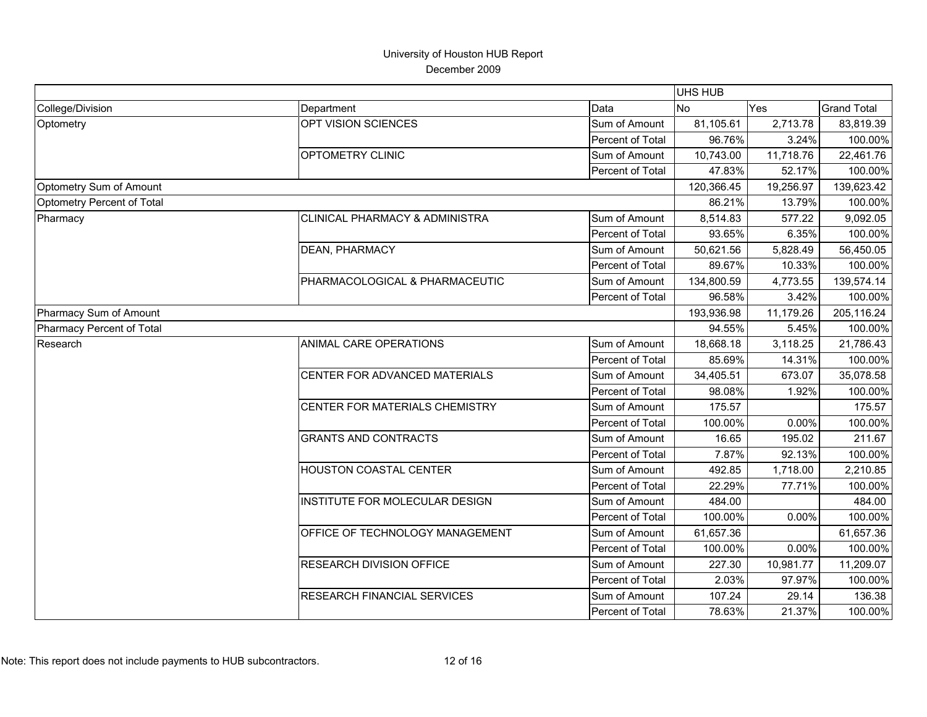|                            |                                           |                  | <b>UHS HUB</b> |           |                    |
|----------------------------|-------------------------------------------|------------------|----------------|-----------|--------------------|
| College/Division           | Department                                | Data             | <b>No</b>      | Yes       | <b>Grand Total</b> |
| Optometry                  | OPT VISION SCIENCES                       | Sum of Amount    | 81,105.61      | 2,713.78  | 83,819.39          |
|                            |                                           | Percent of Total | 96.76%         | 3.24%     | 100.00%            |
|                            | <b>OPTOMETRY CLINIC</b>                   | Sum of Amount    | 10,743.00      | 11,718.76 | 22,461.76          |
|                            |                                           | Percent of Total | 47.83%         | 52.17%    | 100.00%            |
| Optometry Sum of Amount    |                                           |                  | 120,366.45     | 19,256.97 | 139,623.42         |
| Optometry Percent of Total |                                           |                  | 86.21%         | 13.79%    | 100.00%            |
| Pharmacy                   | <b>CLINICAL PHARMACY &amp; ADMINISTRA</b> | Sum of Amount    | 8,514.83       | 577.22    | 9,092.05           |
|                            |                                           | Percent of Total | 93.65%         | 6.35%     | 100.00%            |
|                            | DEAN, PHARMACY                            | Sum of Amount    | 50,621.56      | 5,828.49  | 56,450.05          |
|                            |                                           | Percent of Total | 89.67%         | 10.33%    | 100.00%            |
|                            | PHARMACOLOGICAL & PHARMACEUTIC            | Sum of Amount    | 134,800.59     | 4,773.55  | 139,574.14         |
|                            |                                           | Percent of Total | 96.58%         | 3.42%     | 100.00%            |
| Pharmacy Sum of Amount     |                                           |                  | 193,936.98     | 11,179.26 | 205,116.24         |
| Pharmacy Percent of Total  |                                           |                  | 94.55%         | 5.45%     | 100.00%            |
| Research                   | ANIMAL CARE OPERATIONS                    | Sum of Amount    | 18,668.18      | 3,118.25  | 21,786.43          |
|                            |                                           | Percent of Total | 85.69%         | 14.31%    | 100.00%            |
|                            | CENTER FOR ADVANCED MATERIALS             | Sum of Amount    | 34,405.51      | 673.07    | 35,078.58          |
|                            |                                           | Percent of Total | 98.08%         | 1.92%     | 100.00%            |
|                            | CENTER FOR MATERIALS CHEMISTRY            | Sum of Amount    | 175.57         |           | 175.57             |
|                            |                                           | Percent of Total | 100.00%        | 0.00%     | 100.00%            |
|                            | <b>GRANTS AND CONTRACTS</b>               | Sum of Amount    | 16.65          | 195.02    | 211.67             |
|                            |                                           | Percent of Total | 7.87%          | 92.13%    | 100.00%            |
|                            | HOUSTON COASTAL CENTER                    | Sum of Amount    | 492.85         | 1,718.00  | 2,210.85           |
|                            |                                           | Percent of Total | 22.29%         | 77.71%    | 100.00%            |
|                            | INSTITUTE FOR MOLECULAR DESIGN            | Sum of Amount    | 484.00         |           | 484.00             |
|                            |                                           | Percent of Total | 100.00%        | 0.00%     | 100.00%            |
|                            | OFFICE OF TECHNOLOGY MANAGEMENT           | Sum of Amount    | 61,657.36      |           | 61,657.36          |
|                            |                                           | Percent of Total | 100.00%        | 0.00%     | 100.00%            |
|                            | RESEARCH DIVISION OFFICE                  | Sum of Amount    | 227.30         | 10,981.77 | 11,209.07          |
|                            |                                           | Percent of Total | 2.03%          | 97.97%    | 100.00%            |
|                            | RESEARCH FINANCIAL SERVICES               | Sum of Amount    | 107.24         | 29.14     | 136.38             |
|                            |                                           | Percent of Total | 78.63%         | 21.37%    | 100.00%            |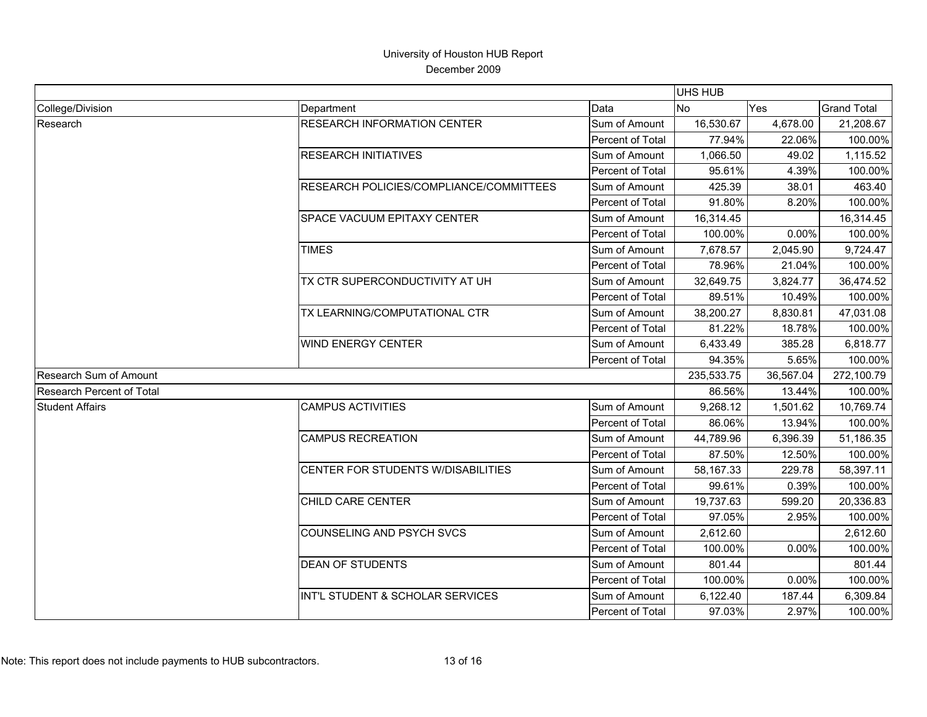|                               |                                         |                  | <b>UHS HUB</b> |           |                    |
|-------------------------------|-----------------------------------------|------------------|----------------|-----------|--------------------|
| College/Division              | Department                              | Data             | <b>No</b>      | Yes       | <b>Grand Total</b> |
| Research                      | <b>RESEARCH INFORMATION CENTER</b>      | Sum of Amount    | 16,530.67      | 4,678.00  | 21,208.67          |
|                               |                                         | Percent of Total | 77.94%         | 22.06%    | 100.00%            |
|                               | <b>RESEARCH INITIATIVES</b>             | Sum of Amount    | 1,066.50       | 49.02     | 1,115.52           |
|                               |                                         | Percent of Total | 95.61%         | 4.39%     | 100.00%            |
|                               | RESEARCH POLICIES/COMPLIANCE/COMMITTEES | Sum of Amount    | 425.39         | 38.01     | 463.40             |
|                               |                                         | Percent of Total | 91.80%         | 8.20%     | 100.00%            |
|                               | SPACE VACUUM EPITAXY CENTER             | Sum of Amount    | 16,314.45      |           | 16,314.45          |
|                               |                                         | Percent of Total | 100.00%        | 0.00%     | 100.00%            |
|                               | <b>TIMES</b>                            | Sum of Amount    | 7,678.57       | 2,045.90  | 9,724.47           |
|                               |                                         | Percent of Total | 78.96%         | 21.04%    | 100.00%            |
|                               | TX CTR SUPERCONDUCTIVITY AT UH          | Sum of Amount    | 32,649.75      | 3,824.77  | 36,474.52          |
|                               |                                         | Percent of Total | 89.51%         | 10.49%    | 100.00%            |
|                               | TX LEARNING/COMPUTATIONAL CTR           | Sum of Amount    | 38,200.27      | 8,830.81  | 47,031.08          |
|                               |                                         | Percent of Total | 81.22%         | 18.78%    | 100.00%            |
|                               | <b>WIND ENERGY CENTER</b>               | Sum of Amount    | 6,433.49       | 385.28    | 6,818.77           |
|                               |                                         | Percent of Total | 94.35%         | 5.65%     | 100.00%            |
| <b>Research Sum of Amount</b> |                                         |                  | 235,533.75     | 36,567.04 | 272,100.79         |
| Research Percent of Total     |                                         |                  | 86.56%         | 13.44%    | 100.00%            |
| <b>Student Affairs</b>        | <b>CAMPUS ACTIVITIES</b>                | Sum of Amount    | 9,268.12       | 1,501.62  | 10,769.74          |
|                               |                                         | Percent of Total | 86.06%         | 13.94%    | 100.00%            |
|                               | <b>CAMPUS RECREATION</b>                | Sum of Amount    | 44,789.96      | 6,396.39  | 51,186.35          |
|                               |                                         | Percent of Total | 87.50%         | 12.50%    | 100.00%            |
|                               | CENTER FOR STUDENTS W/DISABILITIES      | Sum of Amount    | 58,167.33      | 229.78    | 58,397.11          |
|                               |                                         | Percent of Total | 99.61%         | 0.39%     | 100.00%            |
|                               | CHILD CARE CENTER                       | Sum of Amount    | 19,737.63      | 599.20    | 20,336.83          |
|                               |                                         | Percent of Total | 97.05%         | 2.95%     | 100.00%            |
|                               | COUNSELING AND PSYCH SVCS               | Sum of Amount    | 2,612.60       |           | 2,612.60           |
|                               |                                         | Percent of Total | 100.00%        | 0.00%     | 100.00%            |
|                               | <b>DEAN OF STUDENTS</b>                 | Sum of Amount    | 801.44         |           | 801.44             |
|                               |                                         | Percent of Total | 100.00%        | 0.00%     | 100.00%            |
|                               | INT'L STUDENT & SCHOLAR SERVICES        | Sum of Amount    | 6,122.40       | 187.44    | 6,309.84           |
|                               |                                         | Percent of Total | 97.03%         | 2.97%     | 100.00%            |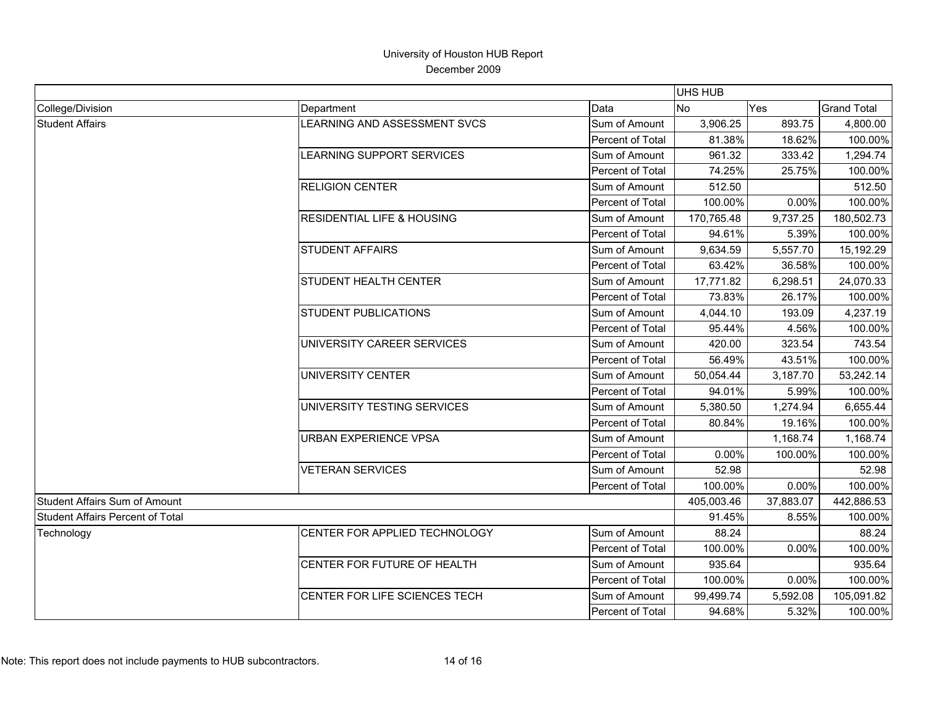|                                         |                                       |                  | <b>UHS HUB</b> |           |                    |
|-----------------------------------------|---------------------------------------|------------------|----------------|-----------|--------------------|
| College/Division                        | Department                            | Data             | No.            | Yes       | <b>Grand Total</b> |
| <b>Student Affairs</b>                  | LEARNING AND ASSESSMENT SVCS          | Sum of Amount    | 3,906.25       | 893.75    | 4,800.00           |
|                                         |                                       | Percent of Total | 81.38%         | 18.62%    | 100.00%            |
|                                         | LEARNING SUPPORT SERVICES             | Sum of Amount    | 961.32         | 333.42    | 1,294.74           |
|                                         |                                       | Percent of Total | 74.25%         | 25.75%    | 100.00%            |
|                                         | <b>RELIGION CENTER</b>                | Sum of Amount    | 512.50         |           | 512.50             |
|                                         |                                       | Percent of Total | 100.00%        | 0.00%     | 100.00%            |
|                                         | <b>RESIDENTIAL LIFE &amp; HOUSING</b> | Sum of Amount    | 170,765.48     | 9,737.25  | 180,502.73         |
|                                         |                                       | Percent of Total | 94.61%         | 5.39%     | 100.00%            |
|                                         | <b>STUDENT AFFAIRS</b>                | Sum of Amount    | 9,634.59       | 5,557.70  | 15,192.29          |
|                                         |                                       | Percent of Total | 63.42%         | 36.58%    | 100.00%            |
|                                         | <b>STUDENT HEALTH CENTER</b>          | Sum of Amount    | 17,771.82      | 6,298.51  | 24,070.33          |
|                                         |                                       | Percent of Total | 73.83%         | 26.17%    | 100.00%            |
|                                         | <b>STUDENT PUBLICATIONS</b>           | Sum of Amount    | 4,044.10       | 193.09    | 4,237.19           |
|                                         |                                       | Percent of Total | 95.44%         | 4.56%     | 100.00%            |
|                                         | UNIVERSITY CAREER SERVICES            | Sum of Amount    | 420.00         | 323.54    | 743.54             |
|                                         |                                       | Percent of Total | 56.49%         | 43.51%    | 100.00%            |
|                                         | UNIVERSITY CENTER                     | Sum of Amount    | 50,054.44      | 3,187.70  | 53,242.14          |
|                                         |                                       | Percent of Total | 94.01%         | 5.99%     | 100.00%            |
|                                         | UNIVERSITY TESTING SERVICES           | Sum of Amount    | 5,380.50       | 1,274.94  | 6,655.44           |
|                                         |                                       | Percent of Total | 80.84%         | 19.16%    | 100.00%            |
|                                         | URBAN EXPERIENCE VPSA                 | Sum of Amount    |                | 1,168.74  | 1,168.74           |
|                                         |                                       | Percent of Total | 0.00%          | 100.00%   | 100.00%            |
|                                         | <b>VETERAN SERVICES</b>               | Sum of Amount    | 52.98          |           | 52.98              |
|                                         |                                       | Percent of Total | 100.00%        | 0.00%     | 100.00%            |
| <b>Student Affairs Sum of Amount</b>    |                                       |                  | 405,003.46     | 37,883.07 | 442,886.53         |
| <b>Student Affairs Percent of Total</b> |                                       |                  | 91.45%         | 8.55%     | 100.00%            |
| Technology                              | CENTER FOR APPLIED TECHNOLOGY         | Sum of Amount    | 88.24          |           | 88.24              |
|                                         |                                       | Percent of Total | 100.00%        | 0.00%     | 100.00%            |
|                                         | CENTER FOR FUTURE OF HEALTH           | Sum of Amount    | 935.64         |           | 935.64             |
|                                         |                                       | Percent of Total | 100.00%        | 0.00%     | 100.00%            |
|                                         | CENTER FOR LIFE SCIENCES TECH         | Sum of Amount    | 99,499.74      | 5,592.08  | 105,091.82         |
|                                         |                                       | Percent of Total | 94.68%         | 5.32%     | 100.00%            |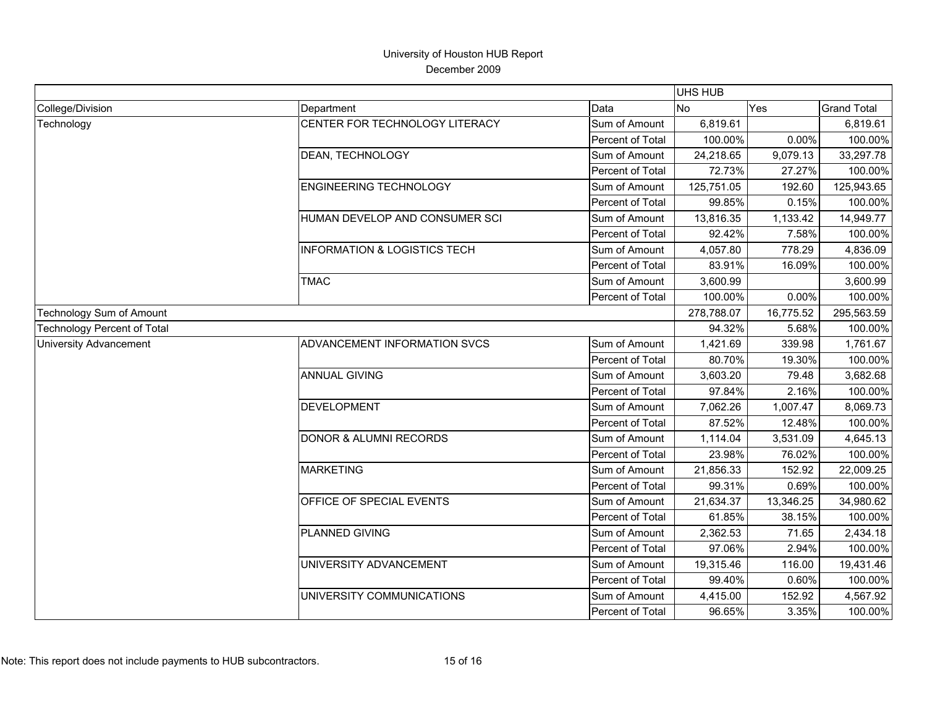|                                    |                                         |                  | <b>UHS HUB</b> |            |                    |
|------------------------------------|-----------------------------------------|------------------|----------------|------------|--------------------|
| College/Division                   | Department                              | Data             | <b>No</b>      | Yes        | <b>Grand Total</b> |
| Technology                         | CENTER FOR TECHNOLOGY LITERACY          | Sum of Amount    | 6,819.61       |            | 6,819.61           |
|                                    |                                         | Percent of Total | 100.00%        | 0.00%      | 100.00%            |
|                                    | DEAN, TECHNOLOGY                        | Sum of Amount    | 24,218.65      | 9,079.13   | 33,297.78          |
|                                    |                                         | Percent of Total | 72.73%         | 27.27%     | 100.00%            |
|                                    | <b>ENGINEERING TECHNOLOGY</b>           | Sum of Amount    | 125,751.05     | 192.60     | 125,943.65         |
|                                    |                                         | Percent of Total | 99.85%         | 0.15%      | 100.00%            |
|                                    | <b>HUMAN DEVELOP AND CONSUMER SCI</b>   | Sum of Amount    | 13,816.35      | 1,133.42   | 14,949.77          |
|                                    |                                         | Percent of Total | 92.42%         | 7.58%      | 100.00%            |
|                                    | <b>INFORMATION &amp; LOGISTICS TECH</b> | Sum of Amount    | 4,057.80       | 778.29     | 4,836.09           |
|                                    |                                         | Percent of Total | 83.91%         | 16.09%     | 100.00%            |
|                                    | <b>TMAC</b>                             | Sum of Amount    | 3,600.99       |            | 3,600.99           |
|                                    |                                         | Percent of Total | 100.00%        | 0.00%      | 100.00%            |
| Technology Sum of Amount           |                                         | 278,788.07       | 16,775.52      | 295,563.59 |                    |
| <b>Technology Percent of Total</b> |                                         |                  | 94.32%         | 5.68%      | 100.00%            |
| <b>University Advancement</b>      | ADVANCEMENT INFORMATION SVCS            | Sum of Amount    | 1,421.69       | 339.98     | 1,761.67           |
|                                    |                                         | Percent of Total | 80.70%         | 19.30%     | 100.00%            |
|                                    | <b>ANNUAL GIVING</b>                    | Sum of Amount    | 3,603.20       | 79.48      | 3,682.68           |
|                                    |                                         | Percent of Total | 97.84%         | 2.16%      | 100.00%            |
|                                    | <b>DEVELOPMENT</b>                      | Sum of Amount    | 7,062.26       | 1,007.47   | 8,069.73           |
|                                    |                                         | Percent of Total | 87.52%         | 12.48%     | 100.00%            |
|                                    | <b>DONOR &amp; ALUMNI RECORDS</b>       | Sum of Amount    | 1,114.04       | 3,531.09   | 4,645.13           |
|                                    |                                         | Percent of Total | 23.98%         | 76.02%     | 100.00%            |
|                                    | <b>MARKETING</b>                        | Sum of Amount    | 21,856.33      | 152.92     | 22,009.25          |
|                                    |                                         | Percent of Total | 99.31%         | 0.69%      | 100.00%            |
|                                    | OFFICE OF SPECIAL EVENTS                | Sum of Amount    | 21,634.37      | 13,346.25  | 34,980.62          |
|                                    |                                         | Percent of Total | 61.85%         | 38.15%     | 100.00%            |
|                                    | PLANNED GIVING                          | Sum of Amount    | 2,362.53       | 71.65      | 2,434.18           |
|                                    |                                         | Percent of Total | 97.06%         | 2.94%      | 100.00%            |
|                                    | UNIVERSITY ADVANCEMENT                  | Sum of Amount    | 19,315.46      | 116.00     | 19,431.46          |
|                                    |                                         | Percent of Total | 99.40%         | 0.60%      | 100.00%            |
|                                    | UNIVERSITY COMMUNICATIONS               | Sum of Amount    | 4,415.00       | 152.92     | 4,567.92           |
|                                    |                                         | Percent of Total | 96.65%         | 3.35%      | 100.00%            |